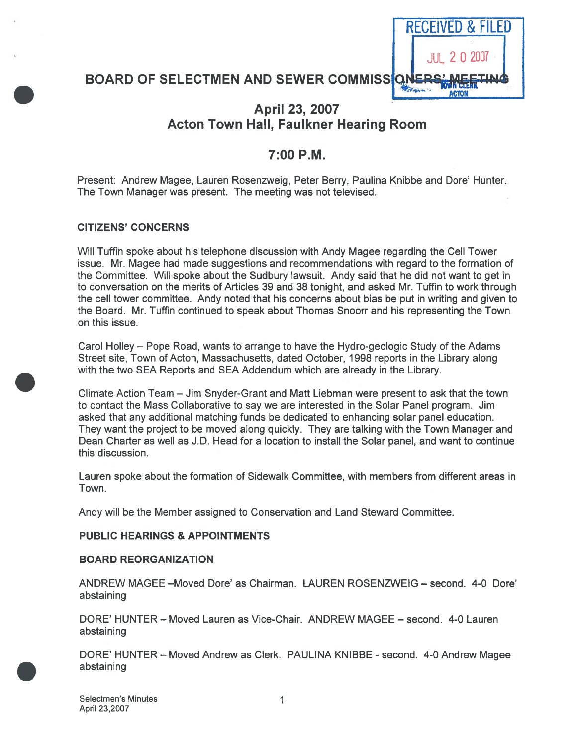

# BOARD OF SELECTMEN AND SEWER COMMISSION

# April 23, 2007 Acton Town Hall, Faulkner Hearing Room

# 7:00 P.M.

Present: Andrew Magee, Lauren Rosenzweig, Peter Berry, Paulina Knibbe and Dore' Hunter. The Town Manager was present. The meeting was not televised.

## CITIZENS' CONCERNS

Will Tuffin spoke about his telephone discussion with Andy Magee regarding the Cell Tower issue. Mr. Magee had made suggestions and recommendations with regard to the formation of the Committee. Will spoke about the Sudbury lawsuit. Andy said that he did not want to ge<sup>t</sup> in to conversation on the merits of Articles 39 and 38 tonight, and asked Mr. Tuffin to work through the cell tower committee. Andy noted that his concerns about bias be pu<sup>t</sup> in writing and given to the Board. Mr. Tuffin continued to speak about Thomas Snoorr and his representing the Town on this issue.

Carol Holley — Pope Road, wants to arrange to have the Hydro-geologic Study of the Adams Street site, Town of Acton, Massachusetts, dated October, 1998 reports in the Library along with the two SEA Reports and SEA Addendum which are already in the Library.

Climate Action Team — Jim Snyder-Grant and Matt Liebman were presen<sup>t</sup> to ask that the town to contact the Mass Collaborative to say we are interested in the Solar Panel program. Jim asked that any additional matching funds be dedicated to enhancing solar panel education. They want the project to be moved along quickly. They are talking with the Town Manager and Dean Charter as well as J.D. Head for <sup>a</sup> location to install the Solar panel, and want to continue this discussion.

Lauren spoke about the formation of Sidewalk Committee, with members from different areas in Town.

Andy will be the Member assigned to Conservation and Land Steward Committee.

# PUBLIC HEARINGS & APPOINTMENTS

#### BOARD REORGANIZATION

ANDREW MAGEE —Moved Dote' as Chairman. LAUREN ROSENZWEIG — second. 4-0 Dore' abstaining

DORE' HUNTER — Moved Lauren as Vice-Chair. ANDREW MAGEE — second. 4-0 Lauren abstaining

DORE' HUNTER - Moved Andrew as Clerk. PAULINA KNIBBE - second. 4-0 Andrew Magee abstaining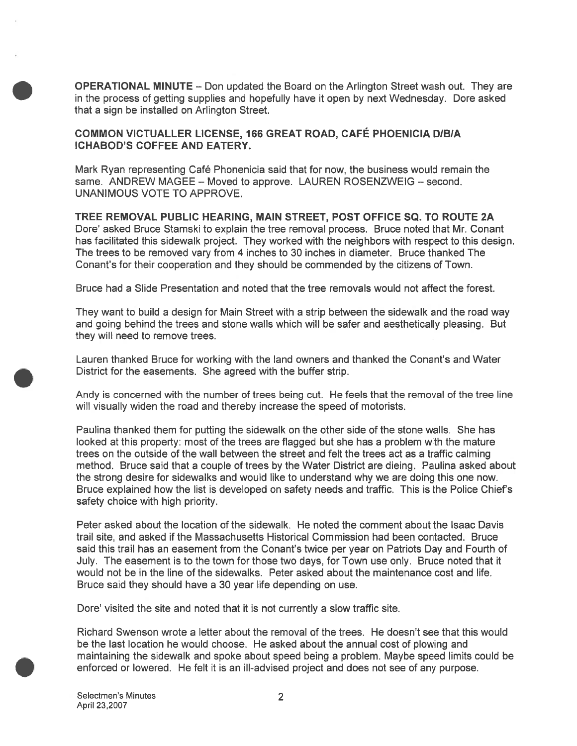OPERATIONAL MINUTE — Don updated the Board on the Arlington Street wash out. They are in the process of getting supplies and hopefully have it open by next Wednesday. Dore asked that <sup>a</sup> sign be installed on Arlington Street.

# COMMON VICTUALLER LICENSE, <sup>166</sup> GREAT ROAD, CAFÉ PHOENICIA DIBIA ICHABOD'S COFFEE AND EATERY.

Mark Ryan representing Café Phonenicia said that for now, the business would remain the same. ANDREW MAGEE — Moved to approve. LAUREN ROSENZWEIG — second. UNANIMOUS VOTE TO APPROVE.

TREE REMOVAL PUBLIC HEARING, MAIN STREET, POST OFFICE SQ. TO ROUTE 2A Dote' asked Bruce Stamski to explain the tree removal process. Bruce noted that Mr. Conant has facilitated this sidewalk project. They worked with the neighbors with respec<sup>t</sup> to this design. The trees to be removed vary from 4 inches to 30 inches in diameter. Bruce thanked The Conant's for their cooperation and they should be commended by the citizens of Town.

Bruce had <sup>a</sup> Slide Presentation and noted that the tree removals would not affect the forest.

They want to build <sup>a</sup> design for Main Street with <sup>a</sup> strip between the sidewalk and the road way and going behind the trees and stone walls which will be safer and aesthetically pleasing. But they will need to remove trees.

Lauren thanked Bruce for working with the land owners and thanked the Conant's and Water District for the easements. She agreed with the buffer strip.

Andy is concerned with the number of trees being cut. He feels that the removal of the tree line will visually widen the road and thereby increase the speed of motorists.

Paulina thanked them for putting the sidewalk on the other side of the stone walls. She has looked at this property: most of the trees are flagged but she has <sup>a</sup> problem with the mature trees on the outside of the wall between the street and felt the trees act as <sup>a</sup> traffic calming method. Bruce said that <sup>a</sup> couple of trees by the Water District are dieing. Paulina asked about the strong desire for sidewalks and would like to understand why we are doing this one now. Bruce explained how the list is developed on safety needs and traffic. This is the Police Chief's safety choice with high priority.

Peter asked about the location of the sidewalk. He noted the comment about the Isaac Davis trail site, and asked if the Massachusetts Historical Commission had been contacted. Bruce said this trail has an easement from the Conant's twice per year on Patriots Day and Fourth of July. The easement is to the town for those two days, for Town use only. Bruce noted that it would not be in the line of the sidewalks. Peter asked about the maintenance cost and life. Bruce said they should have <sup>a</sup> 30 year life depending on use.

Dote' visited the site and noted that it is not currently <sup>a</sup> slow traffic site.

Richard Swenson wrote <sup>a</sup> letter about the removal of the trees. He doesn't see that this would be the last location he would choose. He asked about the annual cost of plowing and maintaining the sidewalk and spoke about speed being <sup>a</sup> problem. Maybe speed limits could be enforced or lowered. He felt it is an ill-advised project and does not see of any purpose.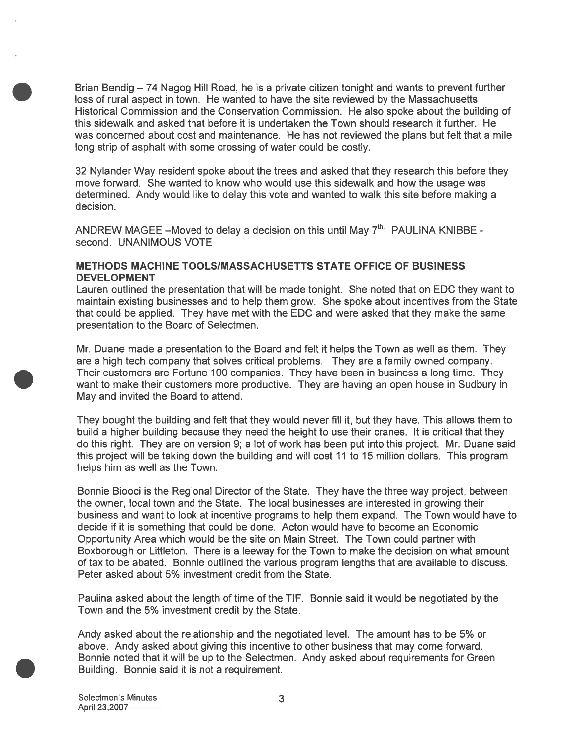Brian Bendig — 74 Nagog Hill Road, he is <sup>a</sup> private citizen tonight and wants to preven<sup>t</sup> further loss of rural aspec<sup>t</sup> in town. He wanted to have the site reviewed by the Massachusetts Historical Commission and the Conservation Commission. He also spoke about the building of this sidewalk and asked that before it is undertaken the Town should research it further. He was concerned about cost and maintenance. He has not reviewed the plans but felt that <sup>a</sup> mile long strip of asphalt with some crossing of water could be costly.

32 Nylander Way resident spoke about the trees and asked that they research this before they move forward. She wanted to know who would use this sidewalk and how the usage was determined. Andy would like to delay this vote and wanted to walk this site before making <sup>a</sup> decision.

ANDREW MAGEE —Moved to delay <sup>a</sup> decision on this until May 7th. PAULINA KNIBBE second. UNANIMOUS VOTE

## METHODS MACHINE TOOLSIMASSACHUSETTS STATE OFFICE OF BUSINESS DEVELOPMENT

Lauren outlined the presentation that will be made tonight. She noted that on EDC they want to maintain existing businesses and to help them grow. She spoke about incentives from the State that could be applied. They have met with the EDC and were asked that they make the same presentation to the Board of Selectmen.

Mr. Duane made <sup>a</sup> presentation to the Board and felt it helps the Town as well as them. They are <sup>a</sup> high tech company that solves critical problems. They are <sup>a</sup> family owned company. Their customers are Fortune 100 companies. They have been in business <sup>a</sup> long time. They want to make their customers more productive. They are having an open house in Sudbury in May and invited the Board to attend.

They bought the building and felt that they would never fill it, but they have. This allows them to build <sup>a</sup> higher building because they need the height to use their cranes. It is critical that they do this right. They are on version 9; <sup>a</sup> lot of work has been pu<sup>t</sup> into this project. Mr. Duane said this project will be taking down the building and will cost 11 to 15 million dollars. This program helps him as well as the Town.

Bonnie Biooci is the Regional Director of the State. They have the three way project, between the owner, local town and the State. The local businesses are interested in growing their business and want to look at incentive programs to help them expand. The Town would have to decide if it is something that could be done. Acton would have to become an Economic Opportunity Area which would be the site on Main Street. The Town could partner with Boxborough or Littleton. There is <sup>a</sup> leeway for the Town to make the decision on what amount of tax to be abated. Bonnie outlined the various program lengths that are available to discuss. Peter asked about 5% investment credit from the State.

Paulina asked about the length of time of the TIF. Bonnie said it would be negotiated by the Town and the 5% investment credit by the State.

Andy asked about the relationship and the negotiated level. The amount has to be 5% or above. Andy asked about giving this incentive to other business that may come forward. Bonnie noted that it will be up to the Selectmen. Andy asked about requirements for Green Building. Bonnie said it is not <sup>a</sup> requirement.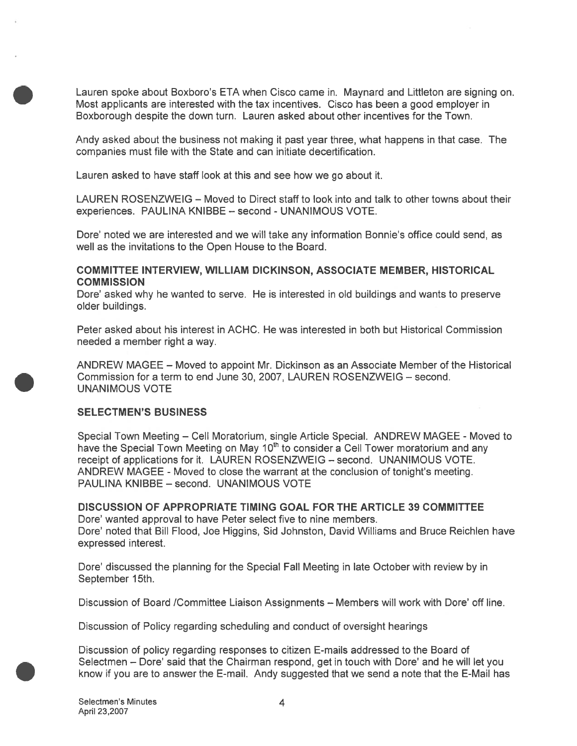Lauren spoke about Boxboro's ETA when Cisco came in. Maynard and Littleton are signing on. Most applicants are interested with the tax incentives. Cisco has been <sup>a</sup> good employer in Boxborough despite the down turn. Lauren asked about other incentives for the Town.

Andy asked about the business not making it pas<sup>t</sup> year three, what happens in that case. The companies must file with the State and can initiate decertification.

Lauren asked to have staff look at this and see how we go about it.

LAUREN ROSENZWEIG — Moved to Direct staff to look into and talk to other towns about their experiences. PAULINA KNIBBE — second - UNANIMOUS VOTE.

Dore' noted we are interested and we will take any information Bonnie's office could send, as well as the invitations to the Open House to the Board.

#### COMMITTEE INTERVIEW, WILLIAM DICKINSON, ASSOCIATE MEMBER, HISTORICAL **COMMISSION**

Dote' asked why he wanted to serve. He is interested in old buildings and wants to preserve older buildings.

Peter asked about his interest in ACHC. He was interested in both but Historical Commission needed <sup>a</sup> member right <sup>a</sup> way.

ANDREW MAGEE — Moved to appoint Mr. Dickinson as an Associate Member of the Historical Commission for <sup>a</sup> term to end June 30, 2007, LAUREN ROSENZWEIG — second. UNANIMOUS VOTE

#### SELECTMEN'S BUSINESS

Special Town Meeting — Cell Moratorium, single Article Special. ANDREW MAGEE - Moved to have the Special Town Meeting on May 10<sup>th</sup> to consider a Cell Tower moratorium and any receipt of applications for it. LAUREN ROSENZWEIG — second. UNANIMOUS VOTE. ANDREW MAGEE - Moved to close the warrant at the conclusion of tonight's meeting. PAULINA KNIBBE — second. UNANIMOUS VOTE

DISCUSSION OF APPROPRIATE TIMING GOAL FOR THE ARTICLE 39 COMMITTEE Dore' wanted approval to have Peter select five to nine members. Dore' noted that Bill Flood, Joe Higgins, Sid Johnston, David Williams and Bruce Reichlen have expressed interest.

Dore' discussed the planning for the Special Fall Meeting in late October with review by in September 15th.

Discussion of Board /Committee Liaison Assignments — Members will work with Dore' off line.

Discussion of Policy regarding scheduling and conduct of oversight hearings

Discussion of policy regarding responses to citizen E-mails addressed to the Board of Selectmen — Dore' said that the Chairman respond, ge<sup>t</sup> in touch with Dore' and he will let you know if you are to answer the E-mail. Andy suggested that we send <sup>a</sup> note that the E-Mail has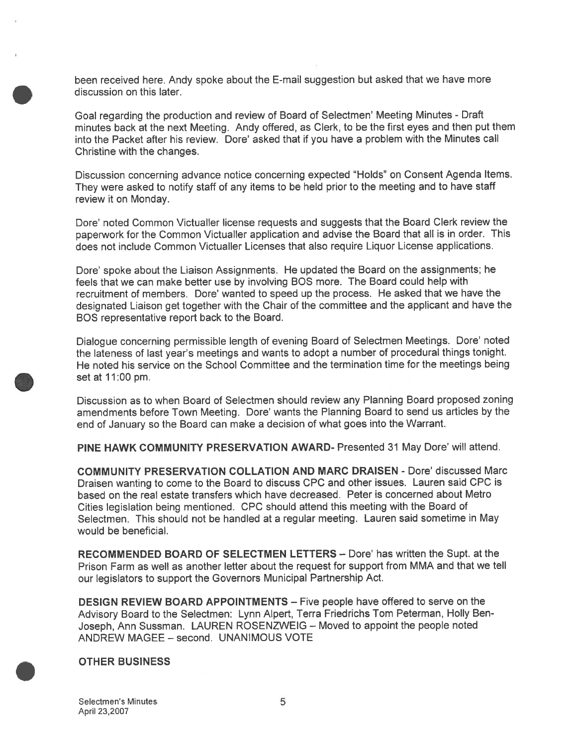been received here. Andy spoke about the E-mail suggestion but asked that we have more discussion on this later.

Goal regarding the production and review of Board of Selectmen' Meeting Minutes - Draft minutes back at the next Meeting. Andy offered, as Clerk, to be the first eyes and then pu<sup>t</sup> them into the Packet after his review. Dore' asked that if you have <sup>a</sup> problem with the Minutes call Christine with the changes.

Discussion concerning advance notice concerning expected 'Holds" on Consent Agenda Items. They were asked to notify staff of any items to be held prior to the meeting and to have staff review it on Monday.

Dote' noted Common Victualler license requests and suggests that the Board Clerk review the paperwor<sup>k</sup> for the Common Victualler application and advise the Board that all is in order. This does not include Common Victualler Licenses that also require Liquor License applications.

Dore' spoke about the Liaison Assignments. He updated the Board on the assignments; he feels that we can make better use by involving BOS more. The Board could help with recruitment of members. Dore' wanted to speed up the process. He asked that we have the designated Liaison ge<sup>t</sup> together with the Chair of the committee and the applicant and have the BOS representative repor<sup>t</sup> back to the Board.

Dialogue concerning permissible length of evening Board of Selectmen Meetings. Dote' noted the lateness of last year's meetings and wants to adopt <sup>a</sup> number of procedural things tonight. He noted his service on the School Committee and the termination time for the meetings being set at 11:00 pm.

Discussion as to when Board of Selectmen should review any Planning Board proposed zoning amendments before Town Meeting. Dore' wants the Planning Board to send us articles by the end of January so the Board can make <sup>a</sup> decision of what goes into the Warrant.

PINE HAWK COMMUNITY PRESERVATION AWARD- Presented 31 May Dote' will attend.

COMMUNITY PRESERVATION COLLATION AND MARC DRAISEN - Dote' discussed Marc Draisen wanting to come to the Board to discuss CPC and other issues. Lauren said CPC is based on the real estate transfers which have decreased. Peter is concerned about Metro Cities legislation being mentioned. CPC should attend this meeting with the Board of Selectmen. This should not be handled at <sup>a</sup> regular meeting. Lauren said sometime in May would be beneficial.

RECOMMENDED BOARD OF SELECTMEN LETTERS — Dote' has written the Supt. at the Prison Farm as well as another letter about the reques<sup>t</sup> for suppor<sup>t</sup> from MMA and that we tell our legislators to suppor<sup>t</sup> the Governors Municipal Partnership Act.

DESIGN REVIEW BOARD APPOINTMENTS — Five people have offered to serve on the Advisory Board to the Selectmen: Lynn Alpert, Terra Friedrichs Tom Peterman, Holly Ben Joseph, Ann Sussman. LAUREN ROSENZWEIG — Moved to appoint the people noted ANDREW MAGEE - second. UNANIMOUS VOTE

#### OTHER BUSINESS